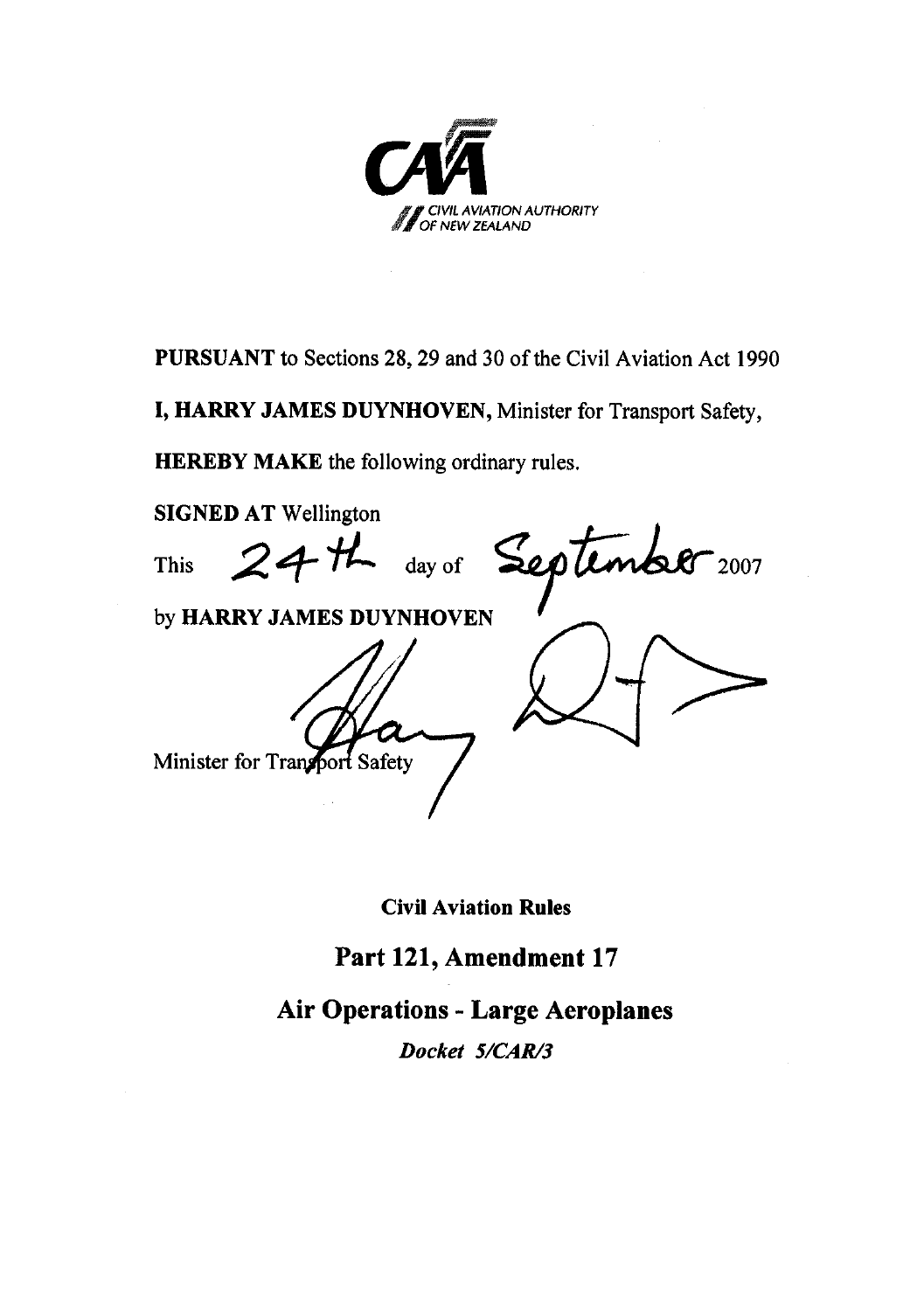

**PURSUANT** to Sections 28, 29 and 30 of the Civil Aviation Act 1990

**I, HARRY JAMES DUYNHOVEN,** Minister for Transport Safety,

**HEREBY MAKE** the following ordinary rules.

**SIGNED AT** Wellington This  $24H$  day of September 2007 by **HARRY JAMES DUYNHOVEN** Minister for Transport Safety

**Civil Aviation Rules** 

**Part 121, Amendment 17**

**Air Operations - Large Aeroplanes** 

*Docket 5/CAR/3*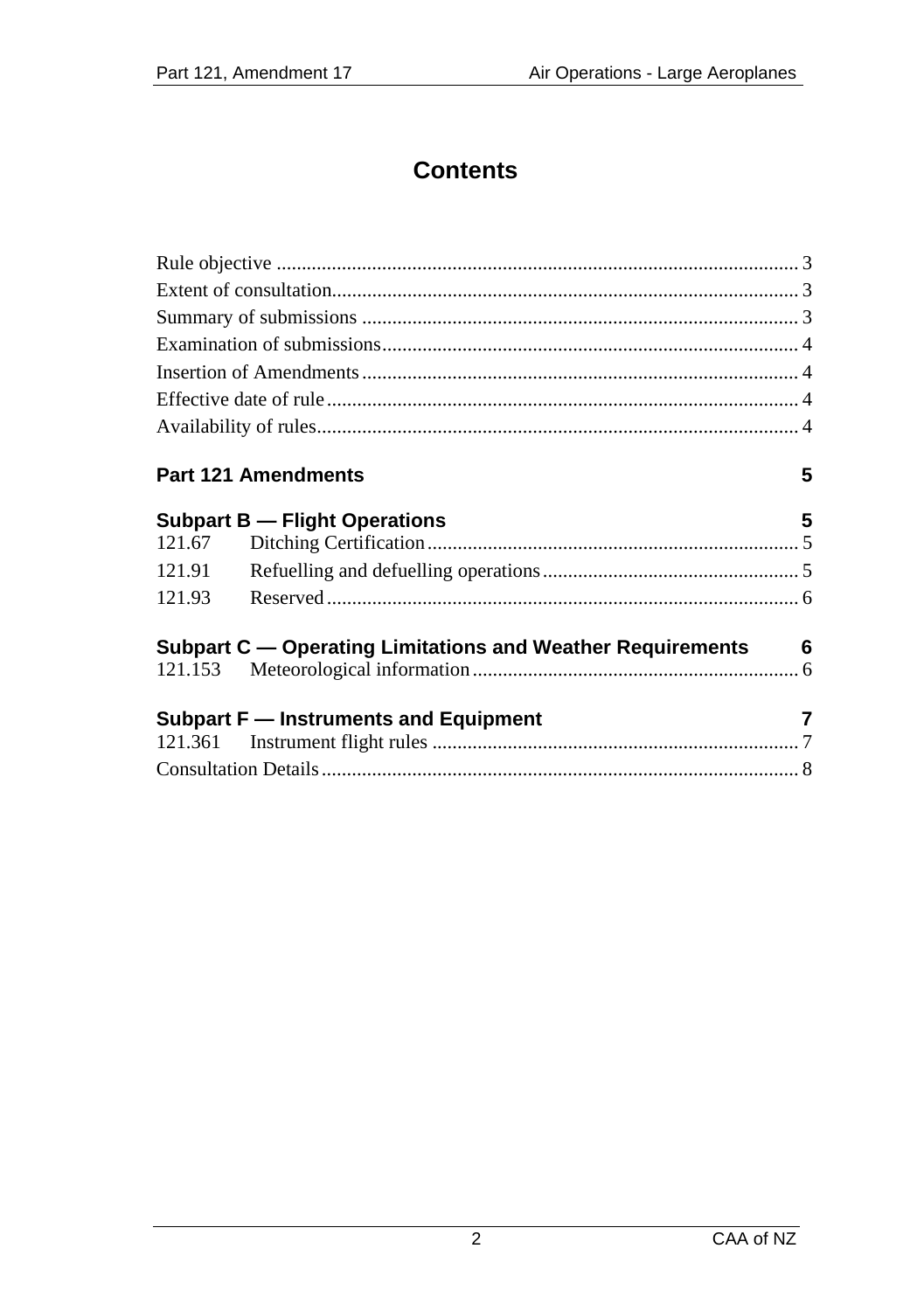## **Contents**

|        | <b>Part 121 Amendments</b>                                   | 5 |
|--------|--------------------------------------------------------------|---|
|        | <b>Subpart B - Flight Operations</b>                         | 5 |
| 121.67 |                                                              |   |
| 121.91 |                                                              |   |
| 121.93 |                                                              |   |
|        | Subpart C - Operating Limitations and Weather Requirements 6 |   |
|        |                                                              |   |
|        | Subpart F – Instruments and Equipment                        | 7 |
|        |                                                              |   |
|        |                                                              |   |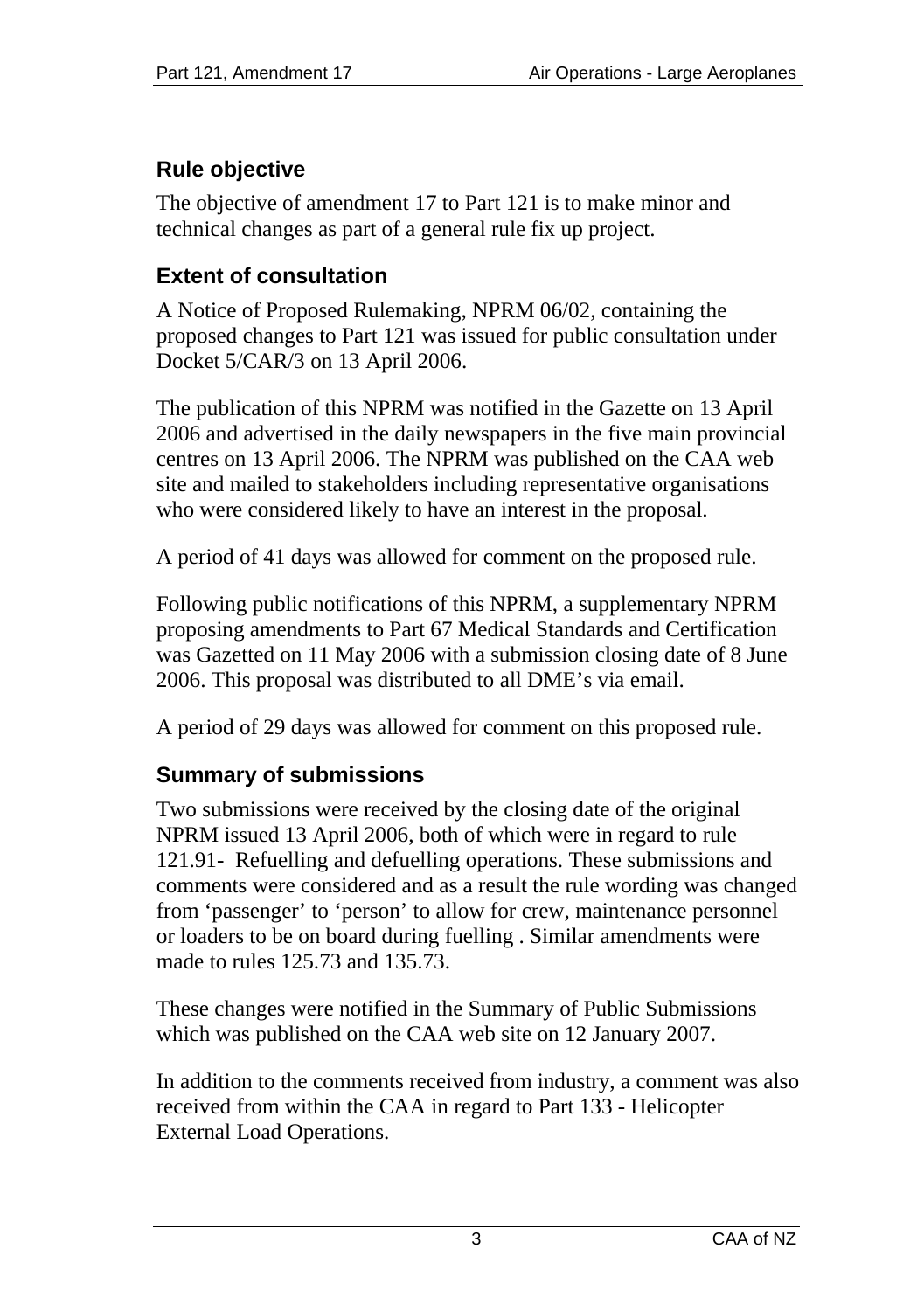## <span id="page-2-0"></span>**Rule objective**

The objective of amendment 17 to Part 121 is to make minor and technical changes as part of a general rule fix up project.

## **Extent of consultation**

A Notice of Proposed Rulemaking, NPRM 06/02, containing the proposed changes to Part 121 was issued for public consultation under Docket 5/CAR/3 on 13 April 2006.

The publication of this NPRM was notified in the Gazette on 13 April 2006 and advertised in the daily newspapers in the five main provincial centres on 13 April 2006. The NPRM was published on the CAA web site and mailed to stakeholders including representative organisations who were considered likely to have an interest in the proposal.

A period of 41 days was allowed for comment on the proposed rule.

Following public notifications of this NPRM, a supplementary NPRM proposing amendments to Part 67 Medical Standards and Certification was Gazetted on 11 May 2006 with a submission closing date of 8 June 2006. This proposal was distributed to all DME's via email.

A period of 29 days was allowed for comment on this proposed rule.

## **Summary of submissions**

Two submissions were received by the closing date of the original NPRM issued 13 April 2006, both of which were in regard to rule 121.91- Refuelling and defuelling operations. These submissions and comments were considered and as a result the rule wording was changed from 'passenger' to 'person' to allow for crew, maintenance personnel or loaders to be on board during fuelling . Similar amendments were made to rules 125.73 and 135.73.

These changes were notified in the Summary of Public Submissions which was published on the CAA web site on 12 January 2007.

In addition to the comments received from industry, a comment was also received from within the CAA in regard to Part 133 - Helicopter External Load Operations.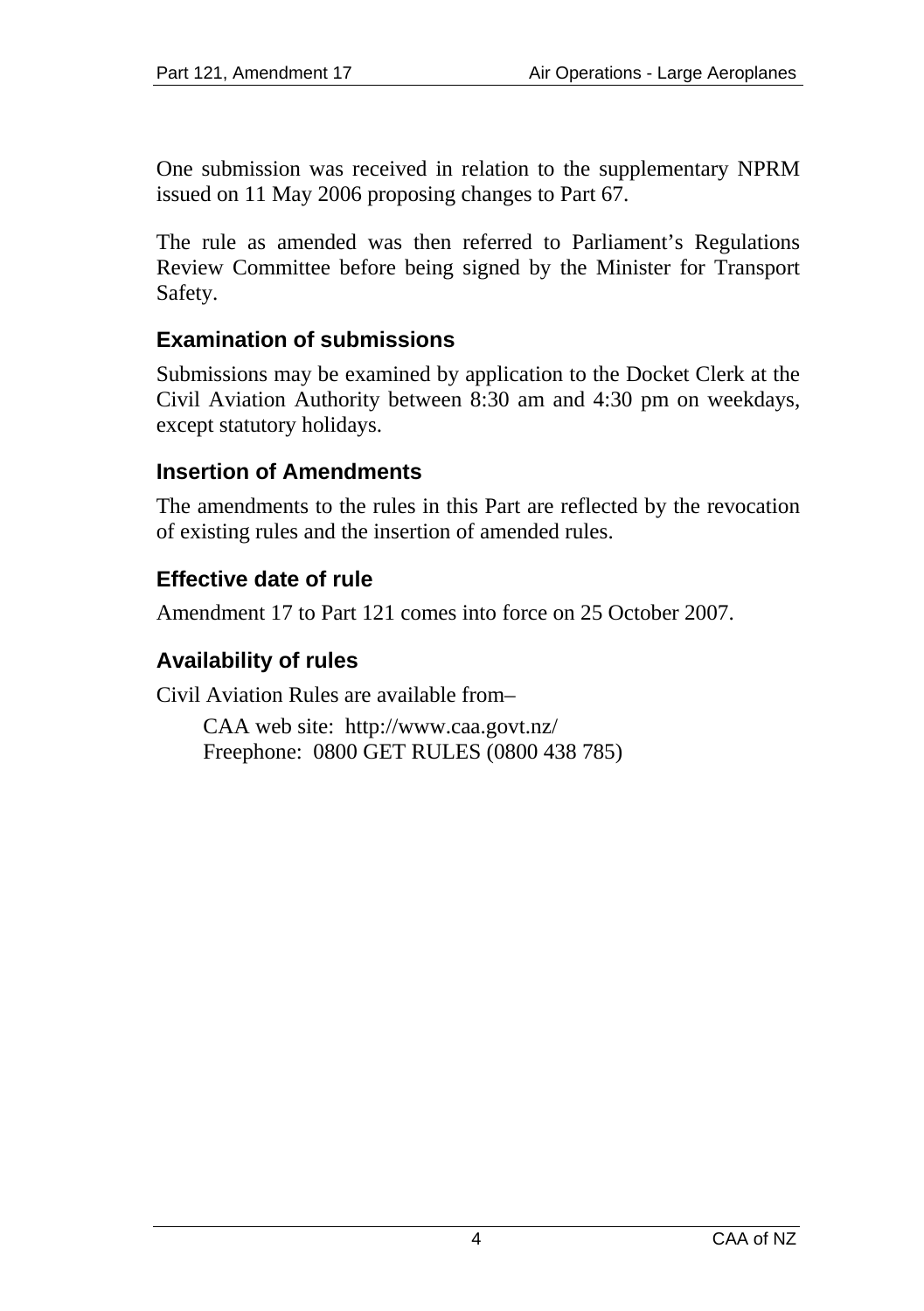<span id="page-3-0"></span>One submission was received in relation to the supplementary NPRM issued on 11 May 2006 proposing changes to Part 67.

The rule as amended was then referred to Parliament's Regulations Review Committee before being signed by the Minister for Transport Safety.

#### **Examination of submissions**

Submissions may be examined by application to the Docket Clerk at the Civil Aviation Authority between 8:30 am and 4:30 pm on weekdays, except statutory holidays.

#### **Insertion of Amendments**

The amendments to the rules in this Part are reflected by the revocation of existing rules and the insertion of amended rules.

#### **Effective date of rule**

Amendment 17 to Part 121 comes into force on 25 October 2007.

#### **Availability of rules**

Civil Aviation Rules are available from–

CAA web site: <http://www.caa.govt.nz/> Freephone: 0800 GET RULES (0800 438 785)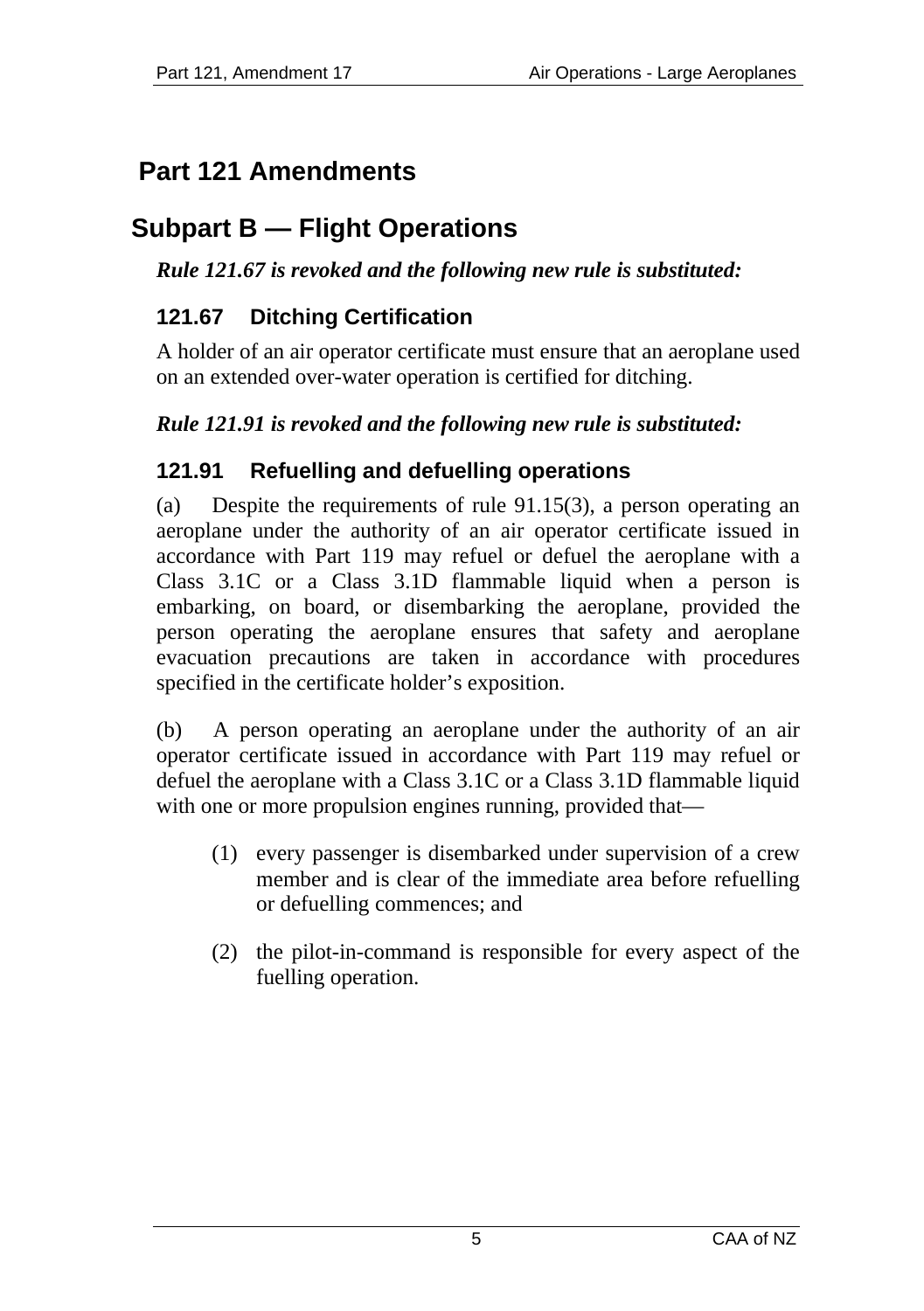# <span id="page-4-0"></span>**Part 121 Amendments**

# **Subpart B — Flight Operations**

#### *Rule 121.67 is revoked and the following new rule is substituted:*

## **121.67 Ditching Certification**

A holder of an air operator certificate must ensure that an aeroplane used on an extended over-water operation is certified for ditching.

#### *Rule 121.91 is revoked and the following new rule is substituted:*

## **121.91 Refuelling and defuelling operations**

(a) Despite the requirements of rule 91.15(3), a person operating an aeroplane under the authority of an air operator certificate issued in accordance with Part 119 may refuel or defuel the aeroplane with a Class 3.1C or a Class 3.1D flammable liquid when a person is embarking, on board, or disembarking the aeroplane, provided the person operating the aeroplane ensures that safety and aeroplane evacuation precautions are taken in accordance with procedures specified in the certificate holder's exposition.

(b) A person operating an aeroplane under the authority of an air operator certificate issued in accordance with Part 119 may refuel or defuel the aeroplane with a Class 3.1C or a Class 3.1D flammable liquid with one or more propulsion engines running, provided that—

- (1) every passenger is disembarked under supervision of a crew member and is clear of the immediate area before refuelling or defuelling commences; and
- (2) the pilot-in-command is responsible for every aspect of the fuelling operation.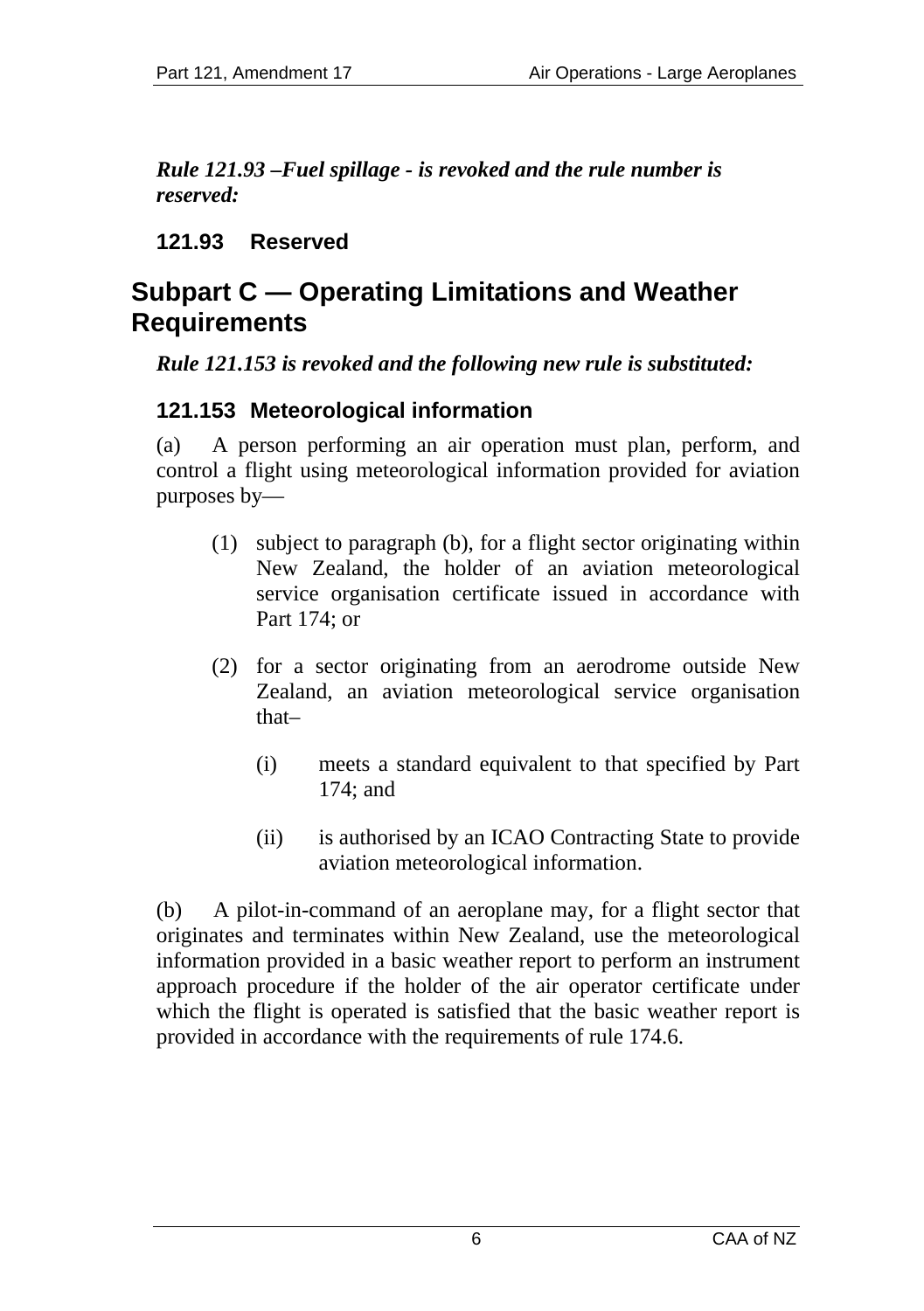<span id="page-5-0"></span>*Rule 121.93 –Fuel spillage - is revoked and the rule number is reserved:* 

**121.93 Reserved** 

## **Subpart C — Operating Limitations and Weather Requirements**

*Rule 121.153 is revoked and the following new rule is substituted:* 

## **121.153 Meteorological information**

(a) A person performing an air operation must plan, perform, and control a flight using meteorological information provided for aviation purposes by—

- (1) subject to paragraph (b), for a flight sector originating within New Zealand, the holder of an aviation meteorological service organisation certificate issued in accordance with Part 174; or
- (2) for a sector originating from an aerodrome outside New Zealand, an aviation meteorological service organisation that–
	- (i) meets a standard equivalent to that specified by Part 174; and
	- (ii) is authorised by an ICAO Contracting State to provide aviation meteorological information.

(b) A pilot-in-command of an aeroplane may, for a flight sector that originates and terminates within New Zealand, use the meteorological information provided in a basic weather report to perform an instrument approach procedure if the holder of the air operator certificate under which the flight is operated is satisfied that the basic weather report is provided in accordance with the requirements of rule 174.6.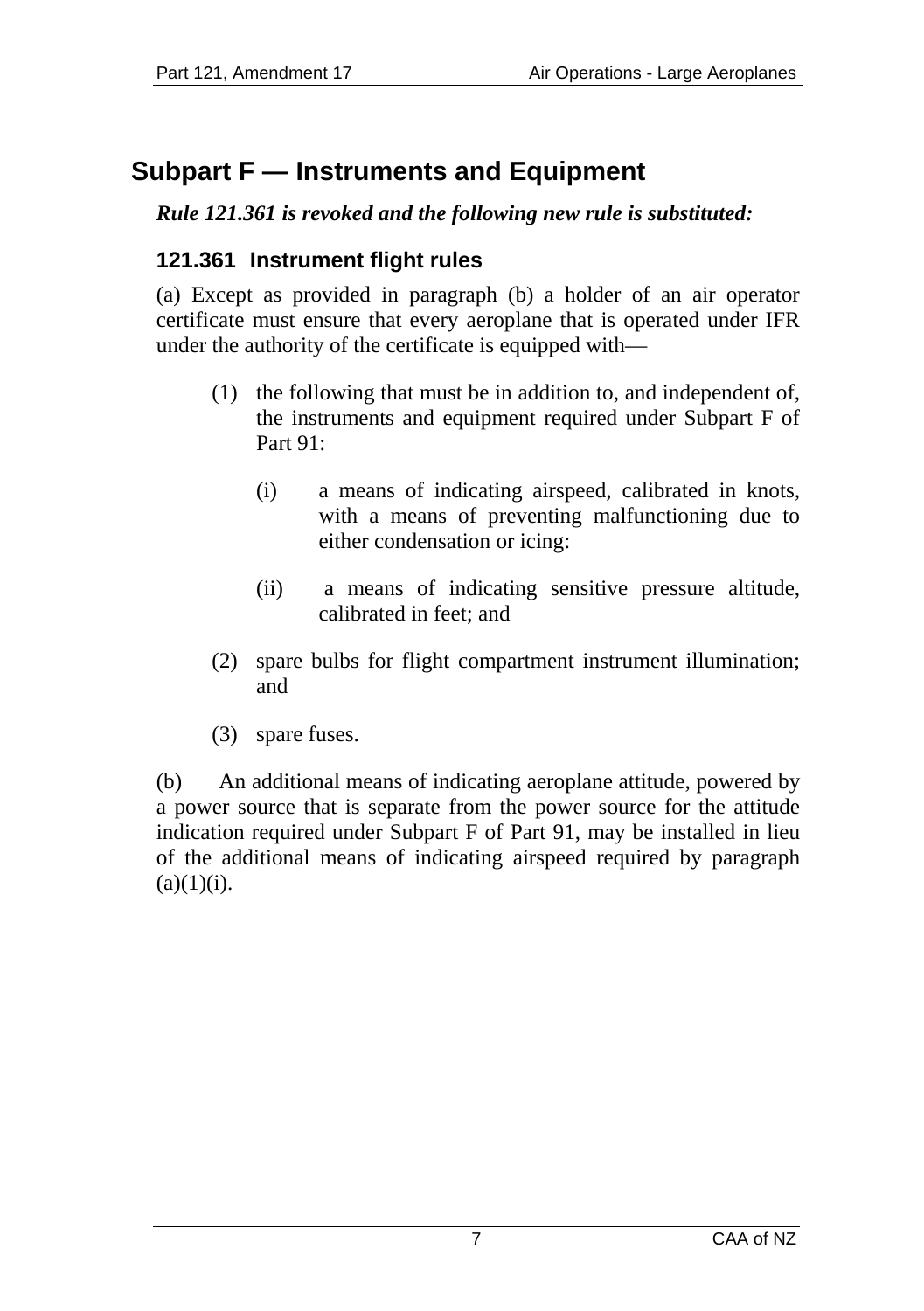# <span id="page-6-0"></span>**Subpart F — Instruments and Equipment**

#### *Rule 121.361 is revoked and the following new rule is substituted:*

## **121.361 Instrument flight rules**

(a) Except as provided in paragraph (b) a holder of an air operator certificate must ensure that every aeroplane that is operated under IFR under the authority of the certificate is equipped with—

- (1) the following that must be in addition to, and independent of, the instruments and equipment required under Subpart F of Part 91:
	- (i) a means of indicating airspeed, calibrated in knots, with a means of preventing malfunctioning due to either condensation or icing:
	- (ii) a means of indicating sensitive pressure altitude, calibrated in feet; and
- (2) spare bulbs for flight compartment instrument illumination; and
- (3) spare fuses.

(b) An additional means of indicating aeroplane attitude, powered by a power source that is separate from the power source for the attitude indication required under Subpart F of Part 91, may be installed in lieu of the additional means of indicating airspeed required by paragraph  $(a)(1)(i)$ .